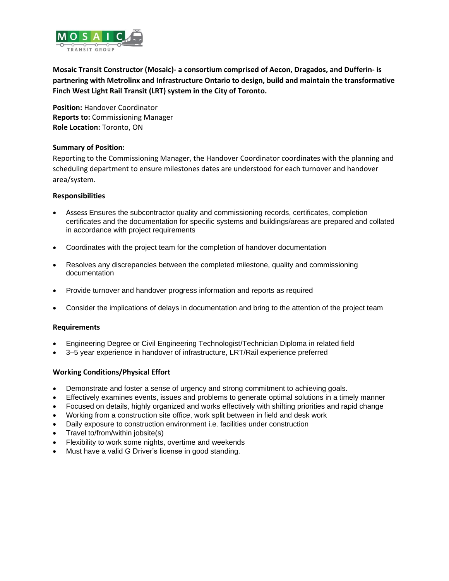

**Mosaic Transit Constructor (Mosaic)- a consortium comprised of Aecon, Dragados, and Dufferin- is partnering with Metrolinx and Infrastructure Ontario to design, build and maintain the transformative Finch West Light Rail Transit (LRT) system in the City of Toronto.**

**Position:** Handover Coordinator **Reports to:** Commissioning Manager **Role Location:** Toronto, ON

## **Summary of Position:**

Reporting to the Commissioning Manager, the Handover Coordinator coordinates with the planning and scheduling department to ensure milestones dates are understood for each turnover and handover area/system.

## **Responsibilities**

- Assess Ensures the subcontractor quality and commissioning records, certificates, completion certificates and the documentation for specific systems and buildings/areas are prepared and collated in accordance with project requirements
- Coordinates with the project team for the completion of handover documentation
- Resolves any discrepancies between the completed milestone, quality and commissioning documentation
- Provide turnover and handover progress information and reports as required
- Consider the implications of delays in documentation and bring to the attention of the project team

## **Requirements**

- Engineering Degree or Civil Engineering Technologist/Technician Diploma in related field
- 3–5 year experience in handover of infrastructure, LRT/Rail experience preferred

## **Working Conditions/Physical Effort**

- Demonstrate and foster a sense of urgency and strong commitment to achieving goals.
- Effectively examines events, issues and problems to generate optimal solutions in a timely manner
- Focused on details, highly organized and works effectively with shifting priorities and rapid change
- Working from a construction site office, work split between in field and desk work
- Daily exposure to construction environment i.e. facilities under construction
- Travel to/from/within jobsite(s)
- Flexibility to work some nights, overtime and weekends
- Must have a valid G Driver's license in good standing.